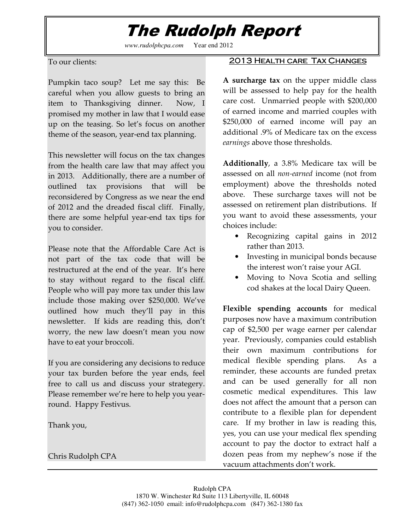# The Rudolph Report

*www.rudolphcpa.com* Year end 2012

To our clients:

Pumpkin taco soup? Let me say this: Be careful when you allow guests to bring an item to Thanksgiving dinner. Now, I promised my mother in law that I would ease up on the teasing. So let's focus on another theme of the season, year-end tax planning.

This newsletter will focus on the tax changes from the health care law that may affect you in 2013. Additionally, there are a number of outlined tax provisions that will be reconsidered by Congress as we near the end of 2012 and the dreaded fiscal cliff. Finally, there are some helpful year-end tax tips for you to consider.

Please note that the Affordable Care Act is not part of the tax code that will be restructured at the end of the year. It's here to stay without regard to the fiscal cliff. People who will pay more tax under this law include those making over \$250,000. We've outlined how much they'll pay in this newsletter. If kids are reading this, don't worry, the new law doesn't mean you now have to eat your broccoli.

If you are considering any decisions to reduce your tax burden before the year ends, feel free to call us and discuss your strategery. Please remember we're here to help you yearround. Happy Festivus.

Thank you,

Chris Rudolph CPA

#### 2013 HEALTH CARE TAX CHANGES

A surcharge tax on the upper middle class will be assessed to help pay for the health care cost. Unmarried people with \$200,000 of earned income and married couples with \$250,000 of earned income will pay an additional .9% of Medicare tax on the excess earnings above those thresholds.

Additionally, a 3.8% Medicare tax will be assessed on all non-earned income (not from employment) above the thresholds noted above. These surcharge taxes will not be assessed on retirement plan distributions. If you want to avoid these assessments, your choices include:

- Recognizing capital gains in 2012 rather than 2013.
- Investing in municipal bonds because the interest won't raise your AGI.
- Moving to Nova Scotia and selling cod shakes at the local Dairy Queen.

Flexible spending accounts for medical purposes now have a maximum contribution cap of \$2,500 per wage earner per calendar year. Previously, companies could establish their own maximum contributions for medical flexible spending plans. As a reminder, these accounts are funded pretax and can be used generally for all non cosmetic medical expenditures. This law does not affect the amount that a person can contribute to a flexible plan for dependent care. If my brother in law is reading this, yes, you can use your medical flex spending account to pay the doctor to extract half a dozen peas from my nephew's nose if the vacuum attachments don't work.